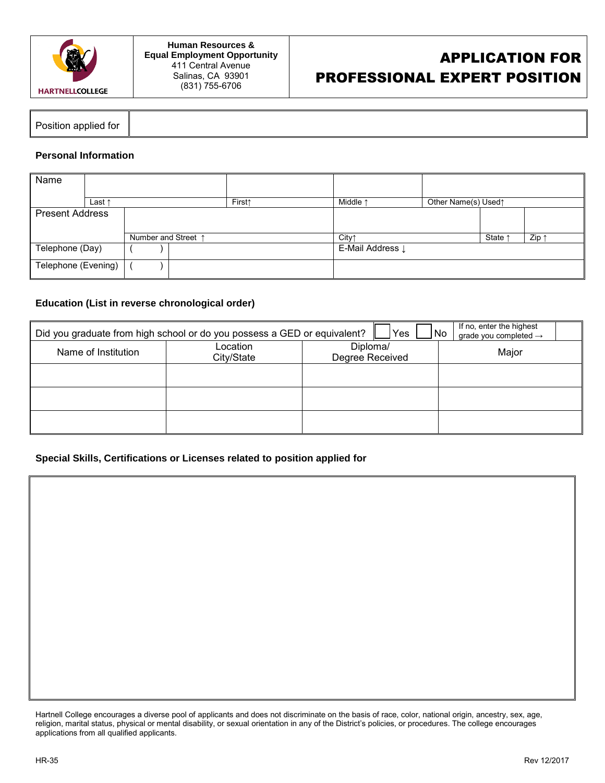

Position applied for

## **Personal Information**

| Name                   |                 |  |  |                     |                             |             |  |                     |       |     |
|------------------------|-----------------|--|--|---------------------|-----------------------------|-------------|--|---------------------|-------|-----|
|                        | Last $\uparrow$ |  |  |                     | <b>First↑</b>               | Middle 1    |  | Other Name(s) Used1 |       |     |
| <b>Present Address</b> |                 |  |  |                     |                             |             |  |                     |       |     |
|                        |                 |  |  |                     |                             |             |  |                     |       |     |
|                        |                 |  |  | Number and Street 1 |                             | <b>City</b> |  |                     | State | Zip |
| Telephone (Day)        |                 |  |  |                     | E-Mail Address $\downarrow$ |             |  |                     |       |     |
| Telephone (Evening)    |                 |  |  |                     |                             |             |  |                     |       |     |

## **Education (List in reverse chronological order)**

| Did you graduate from high school or do you possess a GED or equivalent? | If no, enter the highest<br>No<br>grade you completed $\rightarrow$ |                             |       |
|--------------------------------------------------------------------------|---------------------------------------------------------------------|-----------------------------|-------|
| Name of Institution                                                      | Location<br>City/State                                              | Diploma/<br>Degree Received | Major |
|                                                                          |                                                                     |                             |       |
|                                                                          |                                                                     |                             |       |
|                                                                          |                                                                     |                             |       |

## **Special Skills, Certifications or Licenses related to position applied for**

Hartnell College encourages a diverse pool of applicants and does not discriminate on the basis of race, color, national origin, ancestry, sex, age, religion, marital status, physical or mental disability, or sexual orientation in any of the District's policies, or procedures. The college encourages applications from all qualified applicants.